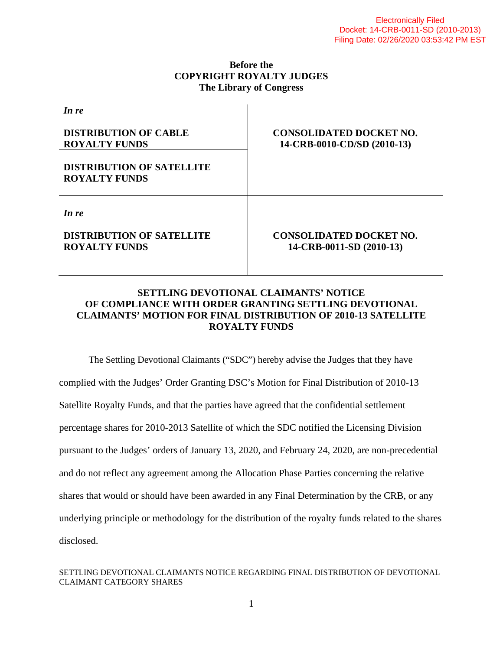### **Before the COPYRIGHT ROYALTY JUDGES The Library of Congress**

| <b>CONSOLIDATED DOCKET NO.</b><br>14-CRB-0010-CD/SD (2010-13) |
|---------------------------------------------------------------|
|                                                               |
| <b>CONSOLIDATED DOCKET NO.</b><br>14-CRB-0011-SD (2010-13)    |
|                                                               |

### **SETTLING DEVOTIONAL CLAIMANTS' NOTICE OF COMPLIANCE WITH ORDER GRANTING SETTLING DEVOTIONAL CLAIMANTS' MOTION FOR FINAL DISTRIBUTION OF 2010-13 SATELLITE ROYALTY FUNDS**

The Settling Devotional Claimants ("SDC") hereby advise the Judges that they have complied with the Judges' Order Granting DSC's Motion for Final Distribution of 2010-13 Satellite Royalty Funds, and that the parties have agreed that the confidential settlement percentage shares for 2010-2013 Satellite of which the SDC notified the Licensing Division pursuant to the Judges' orders of January 13, 2020, and February 24, 2020, are non-precedential and do not reflect any agreement among the Allocation Phase Parties concerning the relative shares that would or should have been awarded in any Final Determination by the CRB, or any underlying principle or methodology for the distribution of the royalty funds related to the shares disclosed.

#### SETTLING DEVOTIONAL CLAIMANTS NOTICE REGARDING FINAL DISTRIBUTION OF DEVOTIONAL CLAIMANT CATEGORY SHARES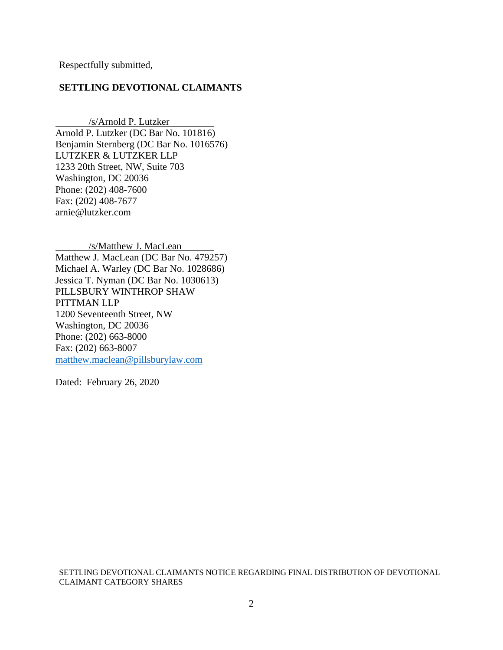Respectfully submitted,

#### **SETTLING DEVOTIONAL CLAIMANTS**

 /s/Arnold P. Lutzker Arnold P. Lutzker (DC Bar No. 101816) Benjamin Sternberg (DC Bar No. 1016576) LUTZKER & LUTZKER LLP 1233 20th Street, NW, Suite 703 Washington, DC 20036 Phone: (202) 408-7600 Fax: (202) 408-7677 arnie@lutzker.com

/s/Matthew J. MacLean

Matthew J. MacLean (DC Bar No. 479257) Michael A. Warley (DC Bar No. 1028686) Jessica T. Nyman (DC Bar No. 1030613) PILLSBURY WINTHROP SHAW PITTMAN LLP 1200 Seventeenth Street, NW Washington, DC 20036 Phone: (202) 663-8000 Fax: (202) 663-8007 matthew.maclean@pillsburylaw.com

Dated: February 26, 2020

SETTLING DEVOTIONAL CLAIMANTS NOTICE REGARDING FINAL DISTRIBUTION OF DEVOTIONAL CLAIMANT CATEGORY SHARES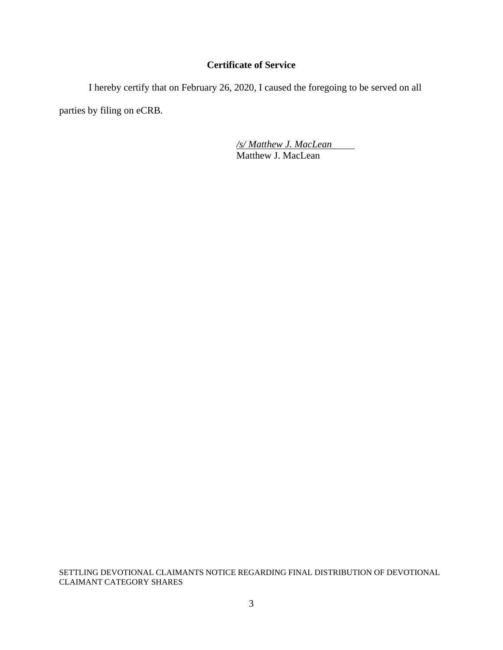## **Certificate of Service**

 I hereby certify that on February 26, 2020, I caused the foregoing to be served on all parties by filing on eCRB.

> */s/ Matthew J. MacLean*  Matthew J. MacLean

SETTLING DEVOTIONAL CLAIMANTS NOTICE REGARDING FINAL DISTRIBUTION OF DEVOTIONAL CLAIMANT CATEGORY SHARES